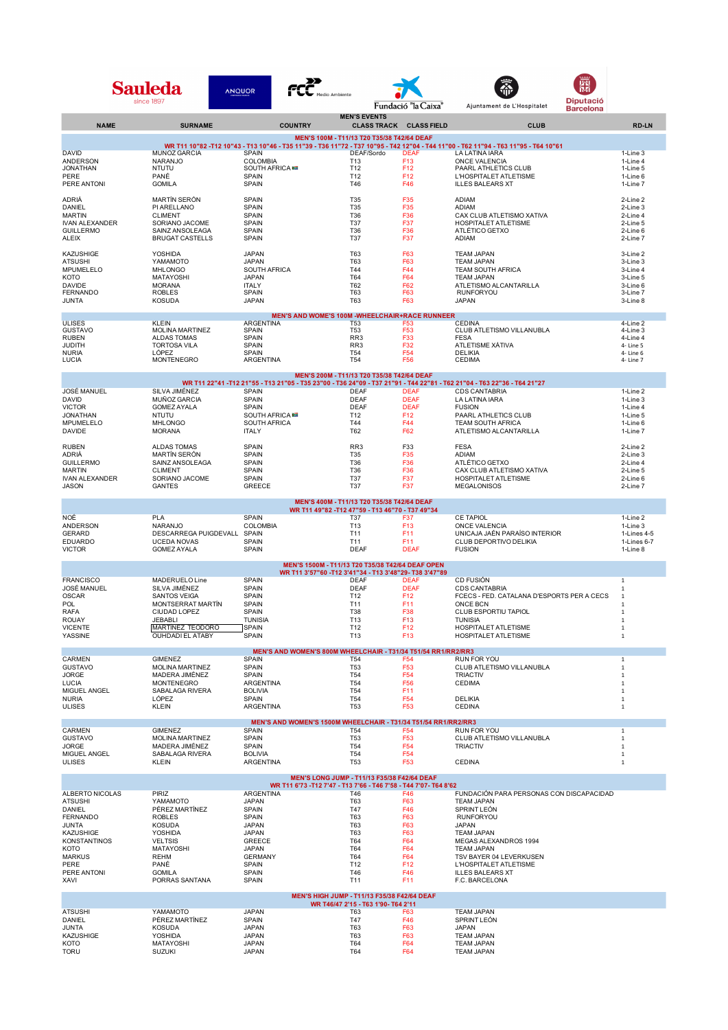|                                           | Sauleda<br><b>ANQUOR</b><br>since 1897          |                                            |                                                                                                | Fundació "la Caixa"                                                              | <b>Diputació</b><br>Ajuntament de L'Hospitalet                                                                                                        |                              |
|-------------------------------------------|-------------------------------------------------|--------------------------------------------|------------------------------------------------------------------------------------------------|----------------------------------------------------------------------------------|-------------------------------------------------------------------------------------------------------------------------------------------------------|------------------------------|
| <b>NAME</b>                               | <b>SURNAME</b>                                  | <b>COUNTRY</b>                             | <b>MEN'S EVENTS</b>                                                                            | <b>CLASS TRACK CLASS FIELD</b>                                                   | <b>Barcelona</b><br><b>CLUB</b>                                                                                                                       | <b>RD-LN</b>                 |
|                                           |                                                 |                                            | MEN'S 100M - T11/13 T20 T35/38 T42/64 DEAF                                                     |                                                                                  |                                                                                                                                                       |                              |
| <b>DAVID</b>                              | <b>MUÑOZ GARCIA</b>                             | <b>SPAIN</b>                               | DEAF/Sordo                                                                                     | <b>DEAF</b>                                                                      | WR T11 10"82 -T12 10"43 - T13 10"46 - T35 11"39 - T36 11"72 - T37 10"95 - T42 12"04 - T44 11"00 - T62 11"94 - T63 11"95 - T64 10"61<br>LA LATINA IARA | 1-Line 3                     |
| ANDERSON<br><b>JONATHAN</b>               | <b>NARANJO</b><br><b>NTUTU</b>                  | COLOMBIA<br>SOUTH AFRICA                   | T13                                                                                            | F <sub>13</sub><br>F <sub>12</sub>                                               | <b>ONCE VALENCIA</b>                                                                                                                                  | 1-Line 4                     |
| PERE                                      | PANÉ                                            | SPAIN                                      | T12<br>T12                                                                                     | F <sub>12</sub>                                                                  | PAARL ATHLETICS CLUB<br>L'HOSPITALET ATLETISME                                                                                                        | 1-Line 5<br>1-Line 6         |
| PERE ANTONI                               | <b>GOMILA</b>                                   | SPAIN                                      | T46                                                                                            | F46                                                                              | <b>ILLES BALEARS XT</b>                                                                                                                               | 1-Line 7                     |
| ADRIÀ<br>DANIEL                           | <b>MARTÍN SERÓN</b><br>PI ARELLANO              | <b>SPAIN</b><br>SPAIN                      | T35<br><b>T35</b>                                                                              | F35<br>F35                                                                       | ADIAM<br>ADIAM                                                                                                                                        | 2-Line 2<br>2-Line 3         |
| <b>MARTIN</b>                             | <b>CLIMENT</b><br>SORIANO JACOME                | SPAIN                                      | T36                                                                                            | F36                                                                              | CAX CLUB ATLETISMO XATIVA                                                                                                                             | 2-Line 4                     |
| <b>IVAN ALEXANDER</b><br><b>GUILLERMO</b> | SAINZ ANSOLEAGA                                 | <b>SPAIN</b><br>SPAIN                      | T <sub>37</sub><br>T36                                                                         | F37<br>F36                                                                       | <b>HOSPITALET ATLETISME</b><br>ATLÉTICO GETXO                                                                                                         | 2-Line 5<br>2-Line 6         |
| ALEIX                                     | <b>BRUGAT CASTELLS</b>                          | SPAIN                                      | T37                                                                                            | F37                                                                              | ADIAM                                                                                                                                                 | 2-Line 7                     |
| KAZUSHIGE<br><b>ATSUSHI</b>               | <b>YOSHIDA</b><br>YAMAMOTO                      | <b>JAPAN</b><br><b>JAPAN</b>               | T63<br>T63                                                                                     | F63<br>F63                                                                       | <b>TEAM JAPAN</b><br><b>TEAM JAPAN</b>                                                                                                                | 3-Line 2<br>3-Line 3         |
| MPUMELELO<br>KOTO                         | <b>MHLONGO</b><br><b>MATAYOSHI</b>              | SOUTH AFRICA<br><b>JAPAN</b>               | T44<br>T64                                                                                     | F44<br>F64                                                                       | TEAM SOUTH AFRICA<br><b>TEAM JAPAN</b>                                                                                                                | 3-Line 4<br>3-Line 5         |
| <b>DAVIDE</b>                             | <b>MORANA</b>                                   | <b>ITALY</b>                               | T62                                                                                            | F62                                                                              | ATLETISMO ALCANTARILLA                                                                                                                                | 3-Line 6                     |
| <b>FERNANDO</b><br>JUNTA                  | <b>ROBLES</b><br><b>KOSUDA</b>                  | <b>SPAIN</b><br><b>JAPAN</b>               | T63<br>T63                                                                                     | F63<br>F63                                                                       | <b>RUNFORYOU</b><br><b>JAPAN</b>                                                                                                                      | 3-Line 7<br>3-Line 8         |
|                                           |                                                 |                                            |                                                                                                | <b>MEN'S AND WOME'S 100M -WHEELCHAIR+RACE RUNNEER</b>                            |                                                                                                                                                       |                              |
| <b>ULISES</b><br><b>GUSTAVO</b>           | <b>KLEIN</b><br><b>MOLINA MARTINEZ</b>          | ARGENTINA<br>SPAIN                         | <b>T53</b><br>T53                                                                              | F <sub>53</sub><br>F <sub>53</sub>                                               | <b>CEDINA</b><br>CLUB ATLETISMO VILLANUBLA                                                                                                            | 4-Line 2<br>4-Line 3         |
| <b>RUBEN</b><br>JUDITH                    | <b>ALDAS TOMAS</b><br><b>TORTOSA VILA</b>       | SPAIN<br>SPAIN                             | RR <sub>3</sub><br>RR <sub>3</sub>                                                             | F33<br>F32                                                                       | <b>FESA</b><br>ATLETISME XATIVA                                                                                                                       | 4-Line 4<br>4- Line 5        |
| <b>NURIA</b>                              | LÓPEZ<br><b>MONTENEGRO</b>                      | SPAIN<br>ARGENTINA                         | <b>T54</b><br>T <sub>54</sub>                                                                  | F <sub>54</sub><br>F56                                                           | <b>DELIKIA</b><br><b>CEDIMA</b>                                                                                                                       | 4- Line 6                    |
| LUCIA                                     |                                                 |                                            |                                                                                                |                                                                                  |                                                                                                                                                       | 4- Line 7                    |
|                                           |                                                 |                                            | MEN'S 200M - T11/13 T20 T35/38 T42/64 DEAF                                                     |                                                                                  | WR T11 22"41 -T12 21"55 - T13 21"05 - T35 23"00 - T36 24"09 - T37 21"91 - T44 22"81 - T62 21"04 - T63 22"36 - T64 21"27                               |                              |
| <b>JOSÉ MANUEL</b><br><b>DAVID</b>        | SILVA JIMÉNEZ<br><b>MUÑOZ GARCIA</b>            | <b>SPAIN</b><br><b>SPAIN</b>               | <b>DEAF</b><br><b>DEAF</b>                                                                     | <b>DEAF</b><br><b>DEAF</b>                                                       | <b>CDS CANTABRIA</b><br>LA LATINA IARA                                                                                                                | 1-Line 2<br>1-Line 3         |
| <b>VICTOR</b>                             | <b>GOMEZ AYALA</b>                              | SPAIN                                      | <b>DEAF</b>                                                                                    | <b>DEAF</b>                                                                      | <b>FUSION</b>                                                                                                                                         | 1-Line 4                     |
| <b>JONATHAN</b><br>MPUMELELO              | <b>NTUTU</b><br><b>MHLONGO</b>                  | <b>SOUTH AFRICA</b><br><b>SOUTH AFRICA</b> | T12<br>T44                                                                                     | F <sub>12</sub><br>F44                                                           | PAARL ATHLETICS CLUB<br><b>TEAM SOUTH AFRICA</b>                                                                                                      | 1-Line 5<br>1-Line 6         |
| <b>DAVIDE</b>                             | <b>MORANA</b>                                   | <b>ITALY</b>                               | <b>T62</b>                                                                                     | F62                                                                              | ATLETISMO ALCANTARILLA                                                                                                                                | 1-Line 7                     |
| <b>RUBEN</b><br>ADRIÀ                     | <b>ALDAS TOMAS</b><br><b>MARTÍN SERÓN</b>       | <b>SPAIN</b><br>SPAIN                      | RR <sub>3</sub><br>T35                                                                         | F33<br>F35                                                                       | <b>FESA</b><br>ADIAM                                                                                                                                  | 2-Line 2<br>2-Line 3         |
| <b>GUILLERMO</b>                          | SAINZ ANSOLEAGA                                 | SPAIN                                      | T36                                                                                            | F36                                                                              | ATLÉTICO GETXO                                                                                                                                        | 2-Line 4                     |
| <b>MARTIN</b><br><b>IVAN ALEXANDER</b>    | <b>CLIMENT</b><br>SORIANO JACOME                | SPAIN<br>SPAIN                             | T36<br>T37                                                                                     | F36<br>F37                                                                       | CAX CLUB ATLETISMO XATIVA<br>HOSPITALET ATLETISME                                                                                                     | 2-Line 5<br>2-Line 6         |
| JASON                                     | GANTES                                          | <b>GREECE</b>                              | T37                                                                                            | F37                                                                              | <b>MEGALONISOS</b>                                                                                                                                    | 2-Line 7                     |
|                                           |                                                 |                                            | MEN'S 400M - T11/13 T20 T35/38 T42/64 DEAF<br>WR T11 49"82 - T12 47"59 - T13 46"70 - T37 49"34 |                                                                                  |                                                                                                                                                       |                              |
| NOĖ                                       | <b>PLA</b>                                      | <b>SPAIN</b>                               | T37                                                                                            | F37                                                                              | <b>CE TAPIOL</b>                                                                                                                                      | 1-Line 2                     |
| <b>ANDERSON</b><br><b>GERARD</b>          | <b>NARANJO</b><br>DESCARREGA PUIGDEVALL SPAIN   | <b>COLOMBIA</b>                            | T <sub>13</sub><br>T <sub>11</sub>                                                             | F <sub>13</sub><br>F11                                                           | <b>ONCE VALENCIA</b><br>UNICAJA JAÉN PARAÍSO INTERIOR                                                                                                 | 1-Line 3<br>1-Lines 4-5      |
| <b>EDUARDO</b><br><b>VICTOR</b>           | <b>UCEDA NOVAS</b><br><b>GOMEZ AYALA</b>        | <b>SPAIN</b><br><b>SPAIN</b>               | T11<br><b>DEAF</b>                                                                             | F11<br><b>DEAF</b>                                                               | CLUB DEPORTIVO DELIKIA<br><b>FUSION</b>                                                                                                               | 1-Lines 6-7<br>1-Line 8      |
|                                           |                                                 |                                            |                                                                                                | MEN'S 1500M - T11/13 T20 T35/38 T42/64 DEAF OPEN                                 |                                                                                                                                                       |                              |
| <b>FRANCISCO</b>                          |                                                 |                                            |                                                                                                | WR T11 3'57"60 -T12 3'41"34 - T13 3'48"29- T38 3'47"89                           |                                                                                                                                                       |                              |
| JOSÉ MANUEL                               | MADERUELO Line<br>SILVA JIMÉNEZ                 | <b>SPAIN</b><br><b>SPAIN</b>               | <b>DEAF</b><br><b>DEAF</b>                                                                     | <b>DEAF</b><br><b>DEAF</b>                                                       | <b>CD FUSIÓN</b><br><b>CDS CANTABRIA</b>                                                                                                              | $\mathbf{1}$<br>$\mathbf{1}$ |
| <b>OSCAR</b><br>POL                       | <b>SANTOS VEIGA</b><br><b>MONTSERRAT MARTÍN</b> | <b>SPAIN</b><br><b>SPAIN</b>               | T12<br>T11                                                                                     | F <sub>12</sub><br>F11                                                           | FCECS - FED. CATALANA D'ESPORTS PER A CECS<br>ONCE BCN                                                                                                | $1\,$<br>$1\,$               |
| <b>RAFA</b><br><b>ROUAY</b>               | CIUDAD LOPEZ<br>JEBABLI                         | <b>SPAIN</b><br><b>TUNISIA</b>             | <b>T38</b><br>T13                                                                              | F38<br>F <sub>13</sub>                                                           | CLUB ESPORTIU TAPIOL<br><b>TUNISIA</b>                                                                                                                | $\mathbf{1}$                 |
| <b>VICENTE</b>                            | MARTÍNEZ TEODORO                                | <b>SPAIN</b>                               | T12                                                                                            | F <sub>12</sub>                                                                  | HOSPITALET ATLETISME                                                                                                                                  | $\mathbf{1}$<br>$\,$ 1       |
| YASSINE                                   | <b>OUHDADI EL ATABY</b>                         | SPAIN                                      | T <sub>13</sub>                                                                                | F <sub>13</sub>                                                                  | HOSPITALET ATLETISME                                                                                                                                  | $\,1\,$                      |
| CARMEN                                    | <b>GIMENEZ</b>                                  | <b>SPAIN</b>                               | T <sub>54</sub>                                                                                | MEN'S AND WOMEN'S 800M WHEELCHAIR - T31/34 T51/54 RR1/RR2/RR3<br>F <sub>54</sub> | RUN FOR YOU                                                                                                                                           | $\mathbf{1}$                 |
| <b>GUSTAVO</b><br><b>JORGE</b>            | <b>MOLINA MARTINEZ</b><br>MADERA JIMÉNEZ        | SPAIN<br>SPAIN                             | T <sub>53</sub><br>T <sub>54</sub>                                                             | F <sub>53</sub><br>F <sub>54</sub>                                               | CLUB ATLETISMO VILLANUBLA<br><b>TRIACTIV</b>                                                                                                          | $\mathbf 1$<br>$\mathbf{1}$  |
| <b>LUCIA</b>                              | <b>MONTENEGRO</b>                               | ARGENTINA                                  | T <sub>54</sub>                                                                                | F <sub>56</sub>                                                                  | <b>CEDIMA</b>                                                                                                                                         | 1                            |
| MIGUEL ANGEL<br><b>NURIA</b>              | SABALAGA RIVERA<br>LÓPEZ                        | <b>BOLIVIA</b><br>SPAIN                    | T <sub>54</sub><br>T <sub>54</sub>                                                             | F11<br>F <sub>54</sub>                                                           | <b>DELIKIA</b>                                                                                                                                        | 1<br>1                       |
| <b>ULISES</b>                             | KLEIN                                           | <b>ARGENTINA</b>                           | <b>T53</b>                                                                                     | F <sub>53</sub>                                                                  | <b>CEDINA</b>                                                                                                                                         | $1\,$                        |
|                                           |                                                 |                                            |                                                                                                | MEN'S AND WOMEN'S 1500M WHEELCHAIR - T31/34 T51/54 RR1/RR2/RR3                   | <b>RUN FOR YOU</b>                                                                                                                                    |                              |
| CARMEN<br><b>GUSTAVO</b>                  | <b>GIMENEZ</b><br><b>MOLINA MARTINEZ</b>        | SPAIN<br>SPAIN                             | <b>T54</b><br><b>T53</b>                                                                       | F <sub>54</sub><br>F <sub>53</sub>                                               | CLUB ATLETISMO VILLANUBLA                                                                                                                             | $\mathbf{1}$<br>$\mathbf{1}$ |
| <b>JORGE</b><br>MIGUEL ANGEL              | MADERA JIMÉNEZ<br><b>SABALAGA RIVERA</b>        | SPAIN<br><b>BOLIVIA</b>                    | T <sub>54</sub><br>T <sub>54</sub>                                                             | F <sub>54</sub><br>F <sub>54</sub>                                               | <b>TRIACTIV</b>                                                                                                                                       | $\mathbf{1}$<br>$\mathbf 1$  |
| <b>ULISES</b>                             | <b>KLEIN</b>                                    | ARGENTINA                                  | <b>T53</b>                                                                                     | F <sub>53</sub>                                                                  | <b>CEDINA</b>                                                                                                                                         | $1\,$                        |
|                                           |                                                 |                                            | MEN'S LONG JUMP - T11/13 F35/38 F42/64 DEAF                                                    |                                                                                  |                                                                                                                                                       |                              |
| ALBERTO NICOLAS                           | PIRIZ                                           | <b>ARGENTINA</b>                           | T46                                                                                            | WR T11 6'73 - T12 7'47 - T13 7'66 - T46 7'58 - T44 7'07- T64 8'62<br>F46         | FUNDACIÓN PARA PERSONAS CON DISCAPACIDAD                                                                                                              |                              |
| <b>ATSUSHI</b><br>DANIEL                  | YAMAMOTO<br>PÉREZ MARTÍNEZ                      | <b>JAPAN</b><br>SPAIN                      | T63<br>T47                                                                                     | F63<br>F46                                                                       | <b>TEAM JAPAN</b><br><b>SPRINT LEÓN</b>                                                                                                               |                              |
| <b>FERNANDO</b><br><b>JUNTA</b>           | <b>ROBLES</b><br><b>KOSUDA</b>                  | <b>SPAIN</b><br><b>JAPAN</b>               | T63<br>T63                                                                                     | F63<br>F63                                                                       | <b>RUNFORYOU</b><br><b>JAPAN</b>                                                                                                                      |                              |
| KAZUSHIGE                                 | <b>YOSHIDA</b>                                  | <b>JAPAN</b>                               | T63                                                                                            | F63                                                                              | <b>TEAM JAPAN</b>                                                                                                                                     |                              |
| <b>KONSTANTINOS</b><br>KOTO               | <b>VELTSIS</b><br><b>MATAYOSHI</b>              | <b>GREECE</b><br><b>JAPAN</b>              | T64<br>T64                                                                                     | F64<br>F64                                                                       | MEGAS ALEXANDROS 1994<br><b>TEAM JAPAN</b>                                                                                                            |                              |
| <b>MARKUS</b><br>PERE                     | <b>REHM</b><br>PANÉ                             | <b>GERMANY</b><br><b>SPAIN</b>             | T64<br>T12                                                                                     | F64<br>F <sub>12</sub>                                                           | TSV BAYER 04 LEVERKUSEN<br>L'HOSPITALET ATLETISME                                                                                                     |                              |
| PERE ANTONI                               | <b>GOMILA</b>                                   | <b>SPAIN</b>                               | T46                                                                                            | F46                                                                              | <b>ILLES BALEARS XT</b>                                                                                                                               |                              |
| XAVI                                      | PORRAS SANTANA                                  | SPAIN                                      | T11                                                                                            | F11                                                                              | F.C. BARCELONA                                                                                                                                        |                              |
|                                           |                                                 |                                            | MEN'S HIGH JUMP - T11/13 F35/38 F42/64 DEAF<br>WR T46/47 2'15 - T63 1'90- T64 2'11             |                                                                                  |                                                                                                                                                       |                              |
| <b>ATSUSHI</b><br>DANIEL                  | YAMAMOTO<br>PÉREZ MARTÍNEZ                      | <b>JAPAN</b><br><b>SPAIN</b>               | <b>T63</b><br>T47                                                                              | F63<br>F46                                                                       | <b>TEAM JAPAN</b><br><b>SPRINT LEÓN</b>                                                                                                               |                              |
| <b>JUNTA</b>                              | <b>KOSUDA</b>                                   | <b>JAPAN</b>                               | T63                                                                                            | F63                                                                              | <b>JAPAN</b>                                                                                                                                          |                              |
| KAZUSHIGE<br>KOTO                         | YOSHIDA<br><b>MATAYOSHI</b>                     | <b>JAPAN</b><br><b>JAPAN</b>               | T63<br>T64                                                                                     | F63<br>F64                                                                       | <b>TEAM JAPAN</b><br><b>TEAM JAPAN</b>                                                                                                                |                              |
| <b>TORU</b>                               | <b>SUZUKI</b>                                   | <b>JAPAN</b>                               | T64                                                                                            | F64                                                                              | <b>TEAM JAPAN</b>                                                                                                                                     |                              |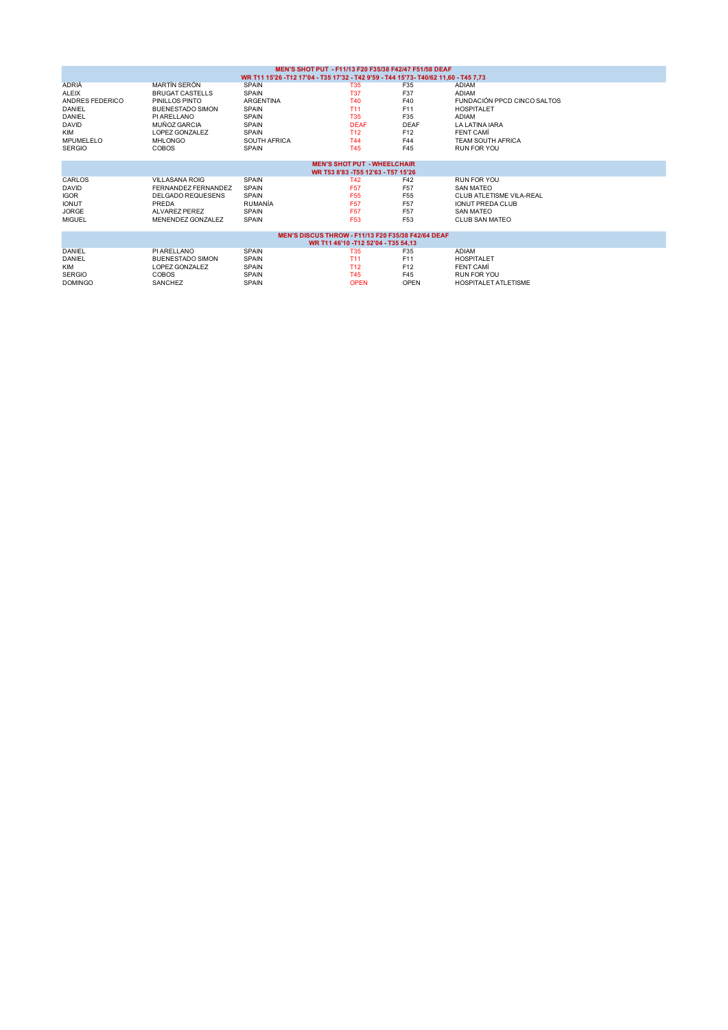|                 |                                    |                                                                                     | MEN'S SHOT PUT - F11/13 F20 F35/38 F42/47 F51/58 DEAF                     |                 |                             |  |
|-----------------|------------------------------------|-------------------------------------------------------------------------------------|---------------------------------------------------------------------------|-----------------|-----------------------------|--|
|                 |                                    | WR T11 15'26 -T12 17'04 - T35 17'32 - T42 9'59 - T44 15'73- T40/62 11,60 - T45 7,73 |                                                                           |                 |                             |  |
| ADRIÀ           | <b>MARTÍN SERÓN</b>                | <b>SPAIN</b>                                                                        | <b>T35</b>                                                                | F35             | <b>ADIAM</b>                |  |
| ALEIX           | BRUGAT CASTELLS                    | <b>SPAIN</b>                                                                        | <b>T37</b>                                                                | F37             | <b>ADIAM</b>                |  |
| ANDRES FEDERICO | PINILLOS PINTO                     | <b>ARGENTINA</b>                                                                    | <b>T40</b>                                                                | F40             | FUNDACIÓN PPCD CINCO SALTOS |  |
| DANIEL          | <b>BUENESTADO SIMON</b>            | <b>SPAIN</b>                                                                        | T <sub>11</sub>                                                           | F11             | <b>HOSPITALET</b>           |  |
| DANIEL          | PI ARELLANO                        | <b>SPAIN</b>                                                                        | <b>T35</b>                                                                | F35             | ADIAM                       |  |
| DAVID           | MUÑOZ GARCIA                       | <b>SPAIN</b>                                                                        | <b>DEAF</b>                                                               | <b>DEAF</b>     | <b>LA LATINA IARA</b>       |  |
| <b>KIM</b>      | LOPEZ GONZALEZ                     | <b>SPAIN</b>                                                                        | <b>T12</b>                                                                | F <sub>12</sub> | FENT CAMI                   |  |
| MPUMELELO       | <b>MHLONGO</b>                     | <b>SOUTH AFRICA</b>                                                                 | <b>T44</b>                                                                | F44             | <b>TEAM SOUTH AFRICA</b>    |  |
| <b>SERGIO</b>   | <b>COBOS</b>                       | SPAIN                                                                               | <b>T45</b>                                                                | F45             | RUN FOR YOU                 |  |
|                 |                                    |                                                                                     |                                                                           |                 |                             |  |
|                 |                                    |                                                                                     | <b>MEN'S SHOT PUT - WHEELCHAIR</b><br>WR T53 8'83 - T55 12'63 - T57 15'26 |                 |                             |  |
| CARLOS          | <b>VILLASANA ROIG</b>              | <b>SPAIN</b>                                                                        | <b>T42</b>                                                                | F42             | <b>RUN FOR YOU</b>          |  |
| DAVID           | FERNANDEZ FERNANDEZ                | <b>SPAIN</b>                                                                        | <b>F57</b>                                                                | F <sub>57</sub> | <b>SAN MATEO</b>            |  |
| <b>IGOR</b>     | <b>DELGADO REQUESENS</b>           | <b>SPAIN</b>                                                                        | F <sub>55</sub>                                                           | F <sub>55</sub> | CLUB ATLETISME VILA-REAL    |  |
|                 | PREDA                              | RUMANÍA                                                                             | F <sub>57</sub>                                                           | F <sub>57</sub> | <b>IONUT PREDA CLUB</b>     |  |
| <b>IONUT</b>    |                                    |                                                                                     |                                                                           |                 |                             |  |
| <b>JORGE</b>    | ALVAREZ PEREZ<br>MENENDEZ GONZALEZ | <b>SPAIN</b>                                                                        | <b>F57</b>                                                                | F <sub>57</sub> | <b>SAN MATEO</b>            |  |
| <b>MIGUEL</b>   |                                    | <b>SPAIN</b>                                                                        | F <sub>53</sub>                                                           | F <sub>53</sub> | CLUB SAN MATEO              |  |
|                 |                                    |                                                                                     | <b>MEN'S DISCUS THROW - F11/13 F20 F35/38 F42/64 DEAF</b>                 |                 |                             |  |
|                 |                                    |                                                                                     | WR T11 46'10 - T12 52'04 - T35 54.13                                      |                 |                             |  |
| DANIEL          | PI ARELLANO                        | <b>SPAIN</b>                                                                        | <b>T35</b>                                                                | F35             | ADIAM                       |  |
| DANIEL          | <b>BUENESTADO SIMON</b>            | <b>SPAIN</b>                                                                        | T <sub>11</sub>                                                           | F11             | <b>HOSPITALET</b>           |  |
| <b>KIM</b>      | LOPEZ GONZALEZ                     | <b>SPAIN</b>                                                                        | T <sub>12</sub>                                                           | F <sub>12</sub> | <b>FENT CAMÍ</b>            |  |
| <b>SERGIO</b>   | <b>COBOS</b>                       | <b>SPAIN</b>                                                                        | <b>T45</b>                                                                | F45             | <b>RUN FOR YOU</b>          |  |
| <b>DOMINGO</b>  | <b>SANCHEZ</b>                     | <b>SPAIN</b>                                                                        | <b>OPEN</b>                                                               | <b>OPEN</b>     | <b>HOSPITALET ATLETISME</b> |  |